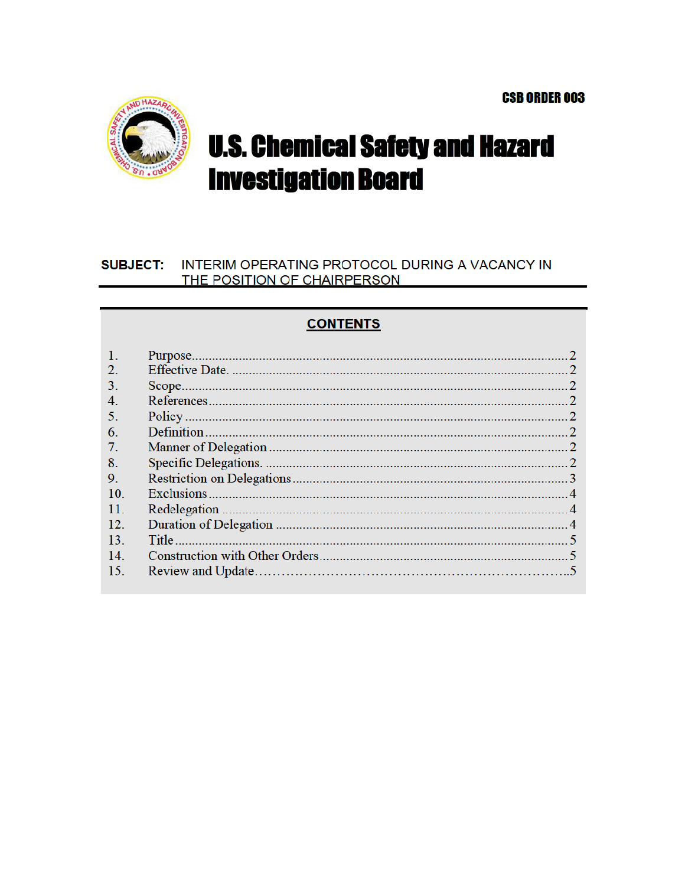

# **U.S. Chemical Safety and Hazard Investigation Board**

#### INTERIM OPERATING PROTOCOL DURING A VACANCY IN **SUBJECT:** THE POSITION OF CHAIRPERSON

# **CONTENTS**

| $\mathcal{D}$ |  |
|---------------|--|
| 3.            |  |
| 4.            |  |
| 5.            |  |
| 6.            |  |
| 7.            |  |
| 8.            |  |
| 9.            |  |
| 10.           |  |
| 11            |  |
| 12            |  |
| 13            |  |
| 14.           |  |
| 15.           |  |
|               |  |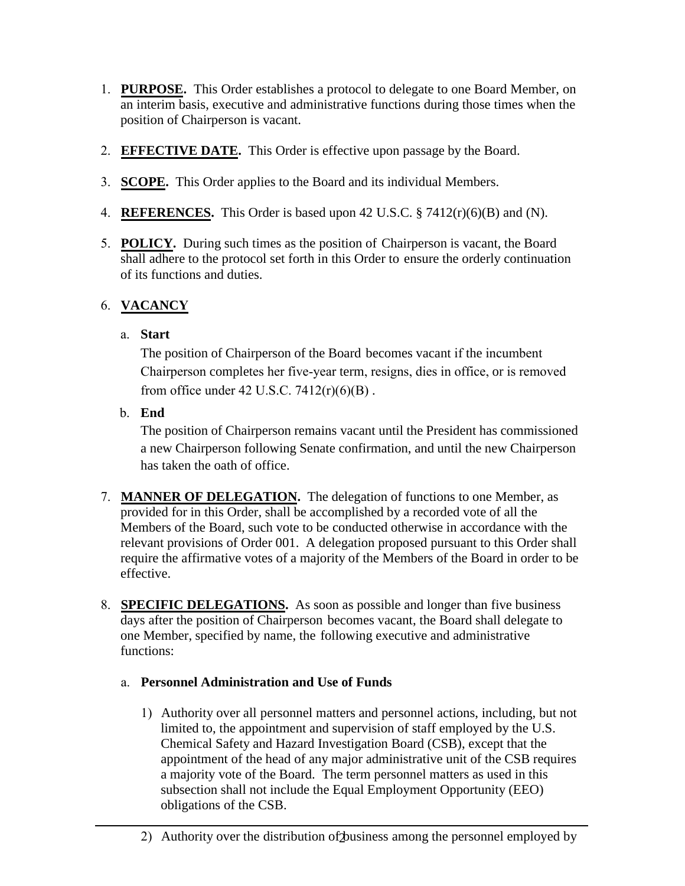- 1. **PURPOSE.** This Order establishes a protocol to delegate to one Board Member, on an interim basis, executive and administrative functions during those times when the position of Chairperson is vacant.
- 2. **EFFECTIVE DATE.** This Order is effective upon passage by the Board.
- 3. **SCOPE.** This Order applies to the Board and its individual Members.
- 4. **REFERENCES.** This Order is based upon 42 U.S.C. § 7412(r)(6)(B) and (N).
- 5. **POLICY.** During such times as the position of Chairperson is vacant, the Board shall adhere to the protocol set forth in this Order to ensure the orderly continuation of its functions and duties.

### 6. **VACANCY**

#### a. **Start**

The position of Chairperson of the Board becomes vacant if the incumbent Chairperson completes her five-year term, resigns, dies in office, or is removed from office under 42 U.S.C.  $7412(r)(6)(B)$ .

b. **End**

The position of Chairperson remains vacant until the President has commissioned a new Chairperson following Senate confirmation, and until the new Chairperson has taken the oath of office.

- 7. **MANNER OF DELEGATION.** The delegation of functions to one Member, as provided for in this Order, shall be accomplished by a recorded vote of all the Members of the Board, such vote to be conducted otherwise in accordance with the relevant provisions of Order 001. A delegation proposed pursuant to this Order shall require the affirmative votes of a majority of the Members of the Board in order to be effective.
- 8. **SPECIFIC DELEGATIONS.** As soon as possible and longer than five business days after the position of Chairperson becomes vacant, the Board shall delegate to one Member, specified by name, the following executive and administrative functions:
	- a. **Personnel Administration and Use of Funds**
		- 1) Authority over all personnel matters and personnel actions, including, but not limited to, the appointment and supervision of staff employed by the U.S. Chemical Safety and Hazard Investigation Board (CSB), except that the appointment of the head of any major administrative unit of the CSB requires a majority vote of the Board. The term personnel matters as used in this subsection shall not include the Equal Employment Opportunity (EEO) obligations of the CSB.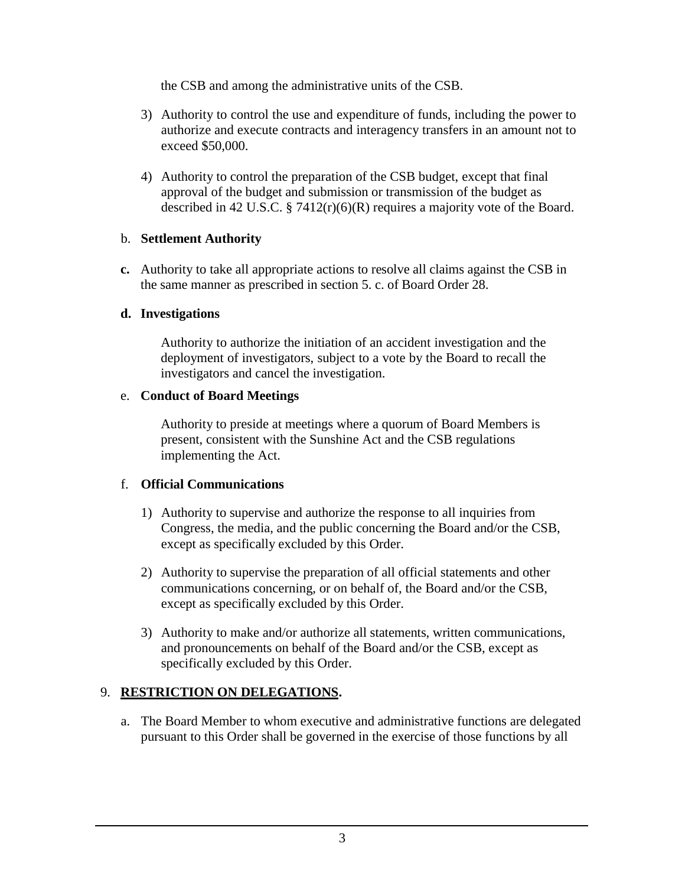the CSB and among the administrative units of the CSB.

- 3) Authority to control the use and expenditure of funds, including the power to authorize and execute contracts and interagency transfers in an amount not to exceed \$50,000.
- 4) Authority to control the preparation of the CSB budget, except that final approval of the budget and submission or transmission of the budget as described in 42 U.S.C. § 7412(r)(6)(R) requires a majority vote of the Board.

#### b. **Settlement Authority**

**c.** Authority to take all appropriate actions to resolve all claims against the CSB in the same manner as prescribed in section 5. c. of Board Order 28.

#### **d. Investigations**

Authority to authorize the initiation of an accident investigation and the deployment of investigators, subject to a vote by the Board to recall the investigators and cancel the investigation.

#### e. **Conduct of Board Meetings**

Authority to preside at meetings where a quorum of Board Members is present, consistent with the Sunshine Act and the CSB regulations implementing the Act.

### f. **Official Communications**

- 1) Authority to supervise and authorize the response to all inquiries from Congress, the media, and the public concerning the Board and/or the CSB, except as specifically excluded by this Order.
- 2) Authority to supervise the preparation of all official statements and other communications concerning, or on behalf of, the Board and/or the CSB, except as specifically excluded by this Order.
- 3) Authority to make and/or authorize all statements, written communications, and pronouncements on behalf of the Board and/or the CSB, except as specifically excluded by this Order.

## 9. **RESTRICTION ON DELEGATIONS.**

a. The Board Member to whom executive and administrative functions are delegated pursuant to this Order shall be governed in the exercise of those functions by all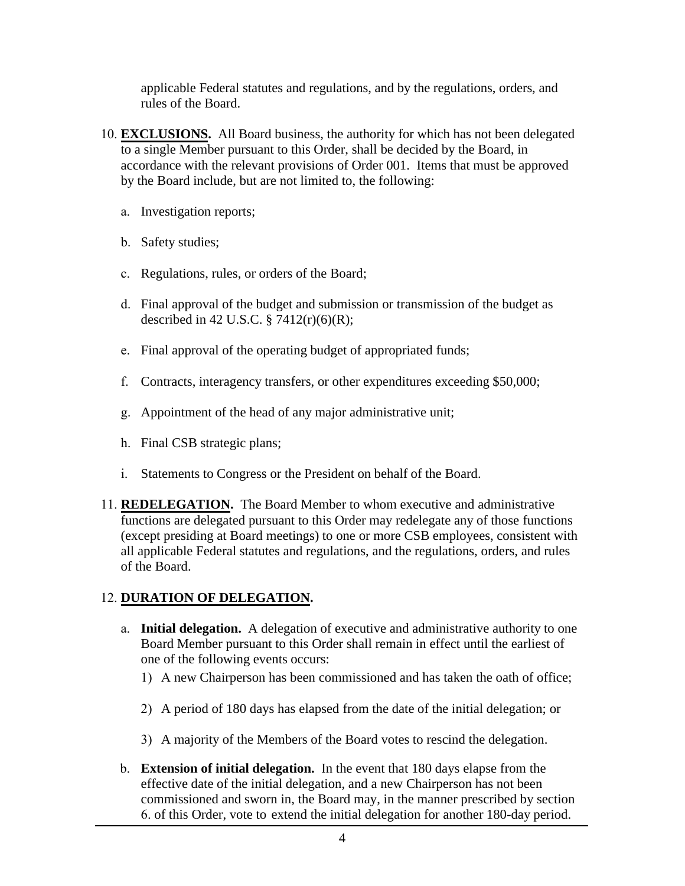applicable Federal statutes and regulations, and by the regulations, orders, and rules of the Board.

- 10. **EXCLUSIONS.** All Board business, the authority for which has not been delegated to a single Member pursuant to this Order, shall be decided by the Board, in accordance with the relevant provisions of Order 001. Items that must be approved by the Board include, but are not limited to, the following:
	- a. Investigation reports;
	- b. Safety studies;
	- c. Regulations, rules, or orders of the Board;
	- d. Final approval of the budget and submission or transmission of the budget as described in 42 U.S.C.  $\S 7412(r)(6)(R);$
	- e. Final approval of the operating budget of appropriated funds;
	- f. Contracts, interagency transfers, or other expenditures exceeding \$50,000;
	- g. Appointment of the head of any major administrative unit;
	- h. Final CSB strategic plans;
	- i. Statements to Congress or the President on behalf of the Board.
- 11. **REDELEGATION.** The Board Member to whom executive and administrative functions are delegated pursuant to this Order may redelegate any of those functions (except presiding at Board meetings) to one or more CSB employees, consistent with all applicable Federal statutes and regulations, and the regulations, orders, and rules of the Board.

### 12. **DURATION OF DELEGATION.**

- a. **Initial delegation.** A delegation of executive and administrative authority to one Board Member pursuant to this Order shall remain in effect until the earliest of one of the following events occurs:
	- 1) A new Chairperson has been commissioned and has taken the oath of office;
	- 2) A period of 180 days has elapsed from the date of the initial delegation; or
	- 3) A majority of the Members of the Board votes to rescind the delegation.
- b. **Extension of initial delegation.** In the event that 180 days elapse from the effective date of the initial delegation, and a new Chairperson has not been commissioned and sworn in, the Board may, in the manner prescribed by section 6. of this Order, vote to extend the initial delegation for another 180-day period.